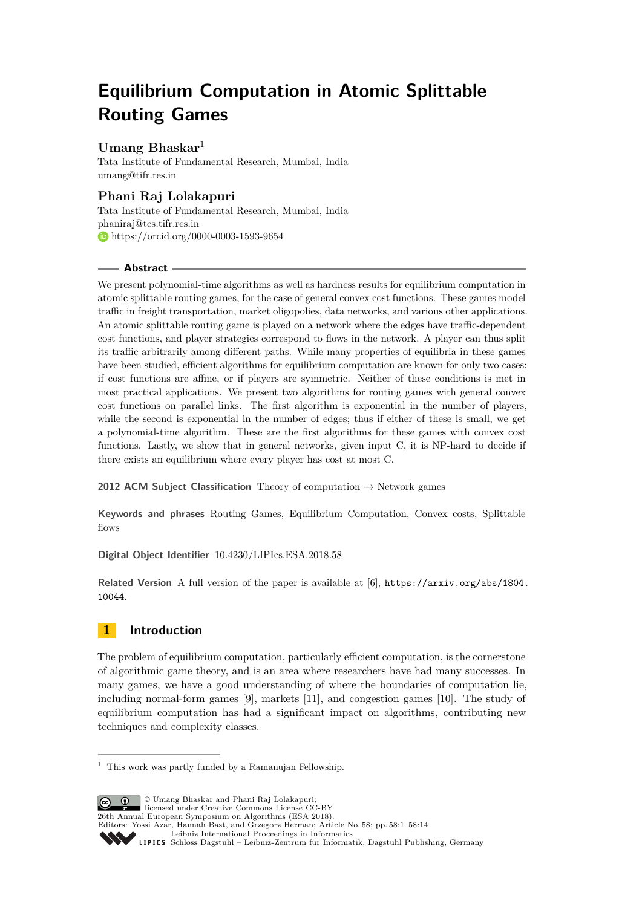# **Equilibrium Computation in Atomic Splittable Routing Games**

## **Umang Bhaskar**<sup>1</sup>

Tata Institute of Fundamental Research, Mumbai, India [umang@tifr.res.in](mailto:umang@tifr.res.in)

# **Phani Raj Lolakapuri**

Tata Institute of Fundamental Research, Mumbai, India [phaniraj@tcs.tifr.res.in](mailto:phaniraj@tcs.tifr.res.in) [https://orcid.org/0000-0003-1593-9654](https://orcid.org/0000-0003-1593-9654 )

### **Abstract**

We present polynomial-time algorithms as well as hardness results for equilibrium computation in atomic splittable routing games, for the case of general convex cost functions. These games model traffic in freight transportation, market oligopolies, data networks, and various other applications. An atomic splittable routing game is played on a network where the edges have traffic-dependent cost functions, and player strategies correspond to flows in the network. A player can thus split its traffic arbitrarily among different paths. While many properties of equilibria in these games have been studied, efficient algorithms for equilibrium computation are known for only two cases: if cost functions are affine, or if players are symmetric. Neither of these conditions is met in most practical applications. We present two algorithms for routing games with general convex cost functions on parallel links. The first algorithm is exponential in the number of players, while the second is exponential in the number of edges; thus if either of these is small, we get a polynomial-time algorithm. These are the first algorithms for these games with convex cost functions. Lastly, we show that in general networks, given input C, it is NP-hard to decide if there exists an equilibrium where every player has cost at most C.

**2012 ACM Subject Classification** Theory of computation  $\rightarrow$  Network games

**Keywords and phrases** Routing Games, Equilibrium Computation, Convex costs, Splittable flows

**Digital Object Identifier** [10.4230/LIPIcs.ESA.2018.58](http://dx.doi.org/10.4230/LIPIcs.ESA.2018.58)

**Related Version** A full version of the paper is available at [\[6\]](#page-12-0), [https://arxiv.org/abs/1804.](https://arxiv.org/abs/1804.10044) [10044](https://arxiv.org/abs/1804.10044).

# **1 Introduction**

The problem of equilibrium computation, particularly efficient computation, is the cornerstone of algorithmic game theory, and is an area where researchers have had many successes. In many games, we have a good understanding of where the boundaries of computation lie, including normal-form games [\[9\]](#page-12-1), markets [\[11\]](#page-12-2), and congestion games [\[10\]](#page-12-3). The study of equilibrium computation has had a significant impact on algorithms, contributing new techniques and complexity classes.

© Umang Bhaskar and Phani Raj Lolakapuri;  $\boxed{6}$  0 licensed under Creative Commons License CC-BY 26th Annual European Symposium on Algorithms (ESA 2018). Editors: Yossi Azar, Hannah Bast, and Grzegorz Herman; Article No. 58; pp. 58:1–58[:14](#page-13-0) [Leibniz International Proceedings in Informatics](http://www.dagstuhl.de/lipics/) [Schloss Dagstuhl – Leibniz-Zentrum für Informatik, Dagstuhl Publishing, Germany](http://www.dagstuhl.de)

 $^{\rm 1}$  This work was partly funded by a Ramanujan Fellowship.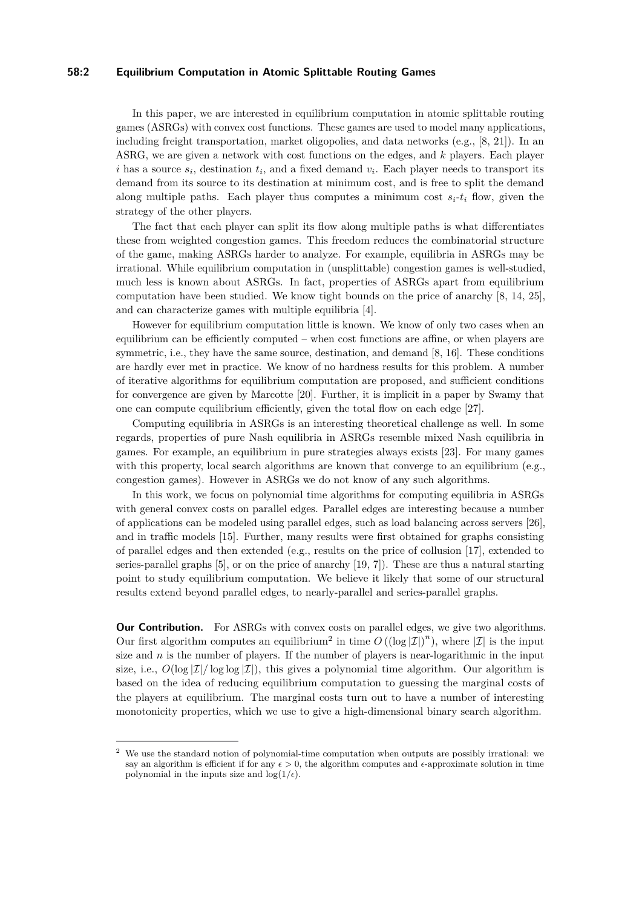### **58:2 Equilibrium Computation in Atomic Splittable Routing Games**

In this paper, we are interested in equilibrium computation in atomic splittable routing games (ASRGs) with convex cost functions. These games are used to model many applications, including freight transportation, market oligopolies, and data networks (e.g., [\[8,](#page-12-4) [21\]](#page-13-1)). In an ASRG, we are given a network with cost functions on the edges, and *k* players. Each player *i* has a source  $s_i$ , destination  $t_i$ , and a fixed demand  $v_i$ . Each player needs to transport its demand from its source to its destination at minimum cost, and is free to split the demand along multiple paths. Each player thus computes a minimum cost  $s_i-t_i$  flow, given the strategy of the other players.

The fact that each player can split its flow along multiple paths is what differentiates these from weighted congestion games. This freedom reduces the combinatorial structure of the game, making ASRGs harder to analyze. For example, equilibria in ASRGs may be irrational. While equilibrium computation in (unsplittable) congestion games is well-studied, much less is known about ASRGs. In fact, properties of ASRGs apart from equilibrium computation have been studied. We know tight bounds on the price of anarchy [\[8,](#page-12-4) [14,](#page-12-5) [25\]](#page-13-2), and can characterize games with multiple equilibria [\[4\]](#page-12-6).

However for equilibrium computation little is known. We know of only two cases when an equilibrium can be efficiently computed – when cost functions are affine, or when players are symmetric, i.e., they have the same source, destination, and demand [\[8,](#page-12-4) [16\]](#page-13-3). These conditions are hardly ever met in practice. We know of no hardness results for this problem. A number of iterative algorithms for equilibrium computation are proposed, and sufficient conditions for convergence are given by Marcotte [\[20\]](#page-13-4). Further, it is implicit in a paper by Swamy that one can compute equilibrium efficiently, given the total flow on each edge [\[27\]](#page-13-5).

Computing equilibria in ASRGs is an interesting theoretical challenge as well. In some regards, properties of pure Nash equilibria in ASRGs resemble mixed Nash equilibria in games. For example, an equilibrium in pure strategies always exists [\[23\]](#page-13-6). For many games with this property, local search algorithms are known that converge to an equilibrium (e.g., congestion games). However in ASRGs we do not know of any such algorithms.

In this work, we focus on polynomial time algorithms for computing equilibria in ASRGs with general convex costs on parallel edges. Parallel edges are interesting because a number of applications can be modeled using parallel edges, such as load balancing across servers [\[26\]](#page-13-7), and in traffic models [\[15\]](#page-12-7). Further, many results were first obtained for graphs consisting of parallel edges and then extended (e.g., results on the price of collusion [\[17\]](#page-13-8), extended to series-parallel graphs [\[5\]](#page-12-8), or on the price of anarchy [\[19,](#page-13-9) [7\]](#page-12-9)). These are thus a natural starting point to study equilibrium computation. We believe it likely that some of our structural results extend beyond parallel edges, to nearly-parallel and series-parallel graphs.

**Our Contribution.** For ASRGs with convex costs on parallel edges, we give two algorithms. Our first algorithm computes an equilibrium<sup>[2](#page-1-0)</sup> in time  $O((\log |\mathcal{I}|)^n)$ , where  $|\mathcal{I}|$  is the input size and  $n$  is the number of players. If the number of players is near-logarithmic in the input size, i.e.,  $O(\log |\mathcal{I}|/\log \log |\mathcal{I}|)$ , this gives a polynomial time algorithm. Our algorithm is based on the idea of reducing equilibrium computation to guessing the marginal costs of the players at equilibrium. The marginal costs turn out to have a number of interesting monotonicity properties, which we use to give a high-dimensional binary search algorithm.

<span id="page-1-0"></span><sup>&</sup>lt;sup>2</sup> We use the standard notion of polynomial-time computation when outputs are possibly irrational: we say an algorithm is efficient if for any  $\epsilon > 0$ , the algorithm computes and  $\epsilon$ -approximate solution in time polynomial in the inputs size and  $\log(1/\epsilon)$ .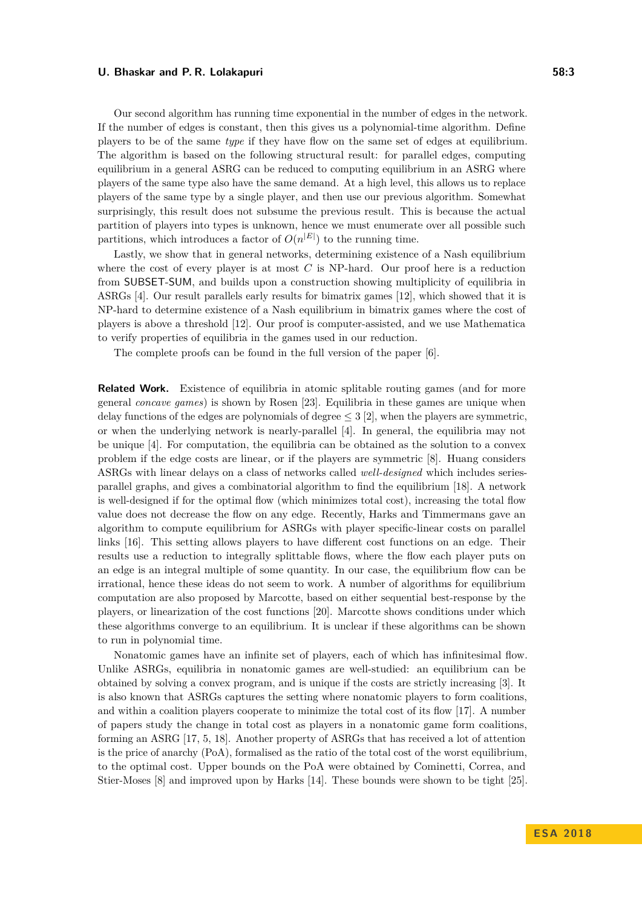Our second algorithm has running time exponential in the number of edges in the network. If the number of edges is constant, then this gives us a polynomial-time algorithm. Define players to be of the same *type* if they have flow on the same set of edges at equilibrium. The algorithm is based on the following structural result: for parallel edges, computing equilibrium in a general ASRG can be reduced to computing equilibrium in an ASRG where players of the same type also have the same demand. At a high level, this allows us to replace players of the same type by a single player, and then use our previous algorithm. Somewhat surprisingly, this result does not subsume the previous result. This is because the actual partition of players into types is unknown, hence we must enumerate over all possible such partitions, which introduces a factor of  $O(n^{|E|})$  to the running time.

Lastly, we show that in general networks, determining existence of a Nash equilibrium where the cost of every player is at most *C* is NP-hard. Our proof here is a reduction from SUBSET-SUM, and builds upon a construction showing multiplicity of equilibria in ASRGs [\[4\]](#page-12-6). Our result parallels early results for bimatrix games [\[12\]](#page-12-10), which showed that it is NP-hard to determine existence of a Nash equilibrium in bimatrix games where the cost of players is above a threshold [\[12\]](#page-12-10). Our proof is computer-assisted, and we use Mathematica to verify properties of equilibria in the games used in our reduction.

The complete proofs can be found in the full version of the paper [\[6\]](#page-12-0).

**Related Work.** Existence of equilibria in atomic splitable routing games (and for more general *concave games*) is shown by Rosen [\[23\]](#page-13-6). Equilibria in these games are unique when delay functions of the edges are polynomials of degree  $\leq$  3 [\[2\]](#page-12-11), when the players are symmetric, or when the underlying network is nearly-parallel [\[4\]](#page-12-6). In general, the equilibria may not be unique [\[4\]](#page-12-6). For computation, the equilibria can be obtained as the solution to a convex problem if the edge costs are linear, or if the players are symmetric [\[8\]](#page-12-4). Huang considers ASRGs with linear delays on a class of networks called *well-designed* which includes seriesparallel graphs, and gives a combinatorial algorithm to find the equilibrium [\[18\]](#page-13-10). A network is well-designed if for the optimal flow (which minimizes total cost), increasing the total flow value does not decrease the flow on any edge. Recently, Harks and Timmermans gave an algorithm to compute equilibrium for ASRGs with player specific-linear costs on parallel links [\[16\]](#page-13-3). This setting allows players to have different cost functions on an edge. Their results use a reduction to integrally splittable flows, where the flow each player puts on an edge is an integral multiple of some quantity. In our case, the equilibrium flow can be irrational, hence these ideas do not seem to work. A number of algorithms for equilibrium computation are also proposed by Marcotte, based on either sequential best-response by the players, or linearization of the cost functions [\[20\]](#page-13-4). Marcotte shows conditions under which these algorithms converge to an equilibrium. It is unclear if these algorithms can be shown to run in polynomial time.

Nonatomic games have an infinite set of players, each of which has infinitesimal flow. Unlike ASRGs, equilibria in nonatomic games are well-studied: an equilibrium can be obtained by solving a convex program, and is unique if the costs are strictly increasing [\[3\]](#page-12-12). It is also known that ASRGs captures the setting where nonatomic players to form coalitions, and within a coalition players cooperate to minimize the total cost of its flow [\[17\]](#page-13-8). A number of papers study the change in total cost as players in a nonatomic game form coalitions, forming an ASRG [\[17,](#page-13-8) [5,](#page-12-8) [18\]](#page-13-10). Another property of ASRGs that has received a lot of attention is the price of anarchy (PoA), formalised as the ratio of the total cost of the worst equilibrium, to the optimal cost. Upper bounds on the PoA were obtained by Cominetti, Correa, and Stier-Moses [\[8\]](#page-12-4) and improved upon by Harks [\[14\]](#page-12-5). These bounds were shown to be tight [\[25\]](#page-13-2).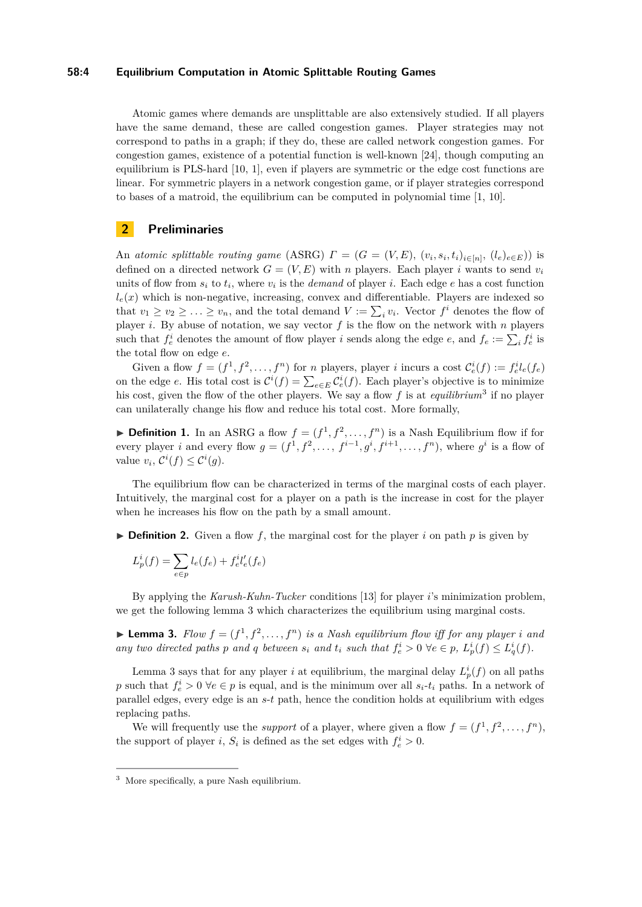### **58:4 Equilibrium Computation in Atomic Splittable Routing Games**

Atomic games where demands are unsplittable are also extensively studied. If all players have the same demand, these are called congestion games. Player strategies may not correspond to paths in a graph; if they do, these are called network congestion games. For congestion games, existence of a potential function is well-known [\[24\]](#page-13-11), though computing an equilibrium is PLS-hard [\[10,](#page-12-3) [1\]](#page-12-13), even if players are symmetric or the edge cost functions are linear. For symmetric players in a network congestion game, or if player strategies correspond to bases of a matroid, the equilibrium can be computed in polynomial time [\[1,](#page-12-13) [10\]](#page-12-3).

### **2 Preliminaries**

An *atomic splittable routing game* (ASRG)  $\Gamma = (G = (V, E), (v_i, s_i, t_i)_{i \in [n]}, (l_e)_{e \in E})$  is defined on a directed network  $G = (V, E)$  with *n* players. Each player *i* wants to send  $v_i$ units of flow from  $s_i$  to  $t_i$ , where  $v_i$  is the *demand* of player *i*. Each edge *e* has a cost function  $l_e(x)$  which is non-negative, increasing, convex and differentiable. Players are indexed so that  $v_1 \ge v_2 \ge \ldots \ge v_n$ , and the total demand  $V := \sum_i v_i$ . Vector  $f^i$  denotes the flow of player *i*. By abuse of notation, we say vector *f* is the flow on the network with *n* players such that  $f_e^i$  denotes the amount of flow player *i* sends along the edge *e*, and  $f_e := \sum_i f_e^i$  is the total flow on edge *e*.

Given a flow  $f = (f^1, f^2, \dots, f^n)$  for *n* players, player *i* incurs a cost  $\mathcal{C}_e^i(f) := f_e^{i} l_e(f_e)$ on the edge *e*. His total cost is  $\mathcal{C}^i(f) = \sum_{e \in E} \mathcal{C}^i_e(f)$ . Each player's objective is to minimize his cost, given the flow of the other players. We say a flow *f* is at *equilibrium*[3](#page-3-0) if no player can unilaterally change his flow and reduce his total cost. More formally,

**Definition 1.** In an ASRG a flow  $f = (f^1, f^2, \ldots, f^n)$  is a Nash Equilibrium flow if for every player *i* and every flow  $g = (f^1, f^2, \ldots, f^{i-1}, g^i, f^{i+1}, \ldots, f^n)$ , where  $g^i$  is a flow of value  $v_i$ ,  $\mathcal{C}^i(f) \leq \mathcal{C}^i(g)$ .

The equilibrium flow can be characterized in terms of the marginal costs of each player. Intuitively, the marginal cost for a player on a path is the increase in cost for the player when he increases his flow on the path by a small amount.

 $\triangleright$  **Definition 2.** Given a flow f, the marginal cost for the player i on path p is given by

$$
L_p^i(f) = \sum_{e \in p} l_e(f_e) + f_e^{i} l'_e(f_e)
$$

By applying the *Karush-Kuhn-Tucker* conditions [\[13\]](#page-12-14) for player *i*'s minimization problem, we get the following lemma [3](#page-3-1) which characterizes the equilibrium using marginal costs.

<span id="page-3-1"></span>**Example 1** Lemma 3. Flow  $f = (f^1, f^2, \ldots, f^n)$  is a Nash equilibrium flow iff for any player *i* and any two directed paths p and q between  $s_i$  and  $t_i$  such that  $f_e^i > 0$   $\forall e \in p$ ,  $L_p^i(f) \leq L_q^i(f)$ .

Lemma [3](#page-3-1) says that for any player *i* at equilibrium, the marginal delay  $L_p^i(f)$  on all paths *p* such that  $f_e^i > 0$   $\forall e \in p$  is equal, and is the minimum over all  $s_i$ - $t_i$  paths. In a network of parallel edges, every edge is an *s*-*t* path, hence the condition holds at equilibrium with edges replacing paths.

We will frequently use the *support* of a player, where given a flow  $f = (f^1, f^2, \ldots, f^n)$ , the support of player *i*,  $S_i$  is defined as the set edges with  $f_e^i > 0$ .

<span id="page-3-0"></span><sup>3</sup> More specifically, a pure Nash equilibrium.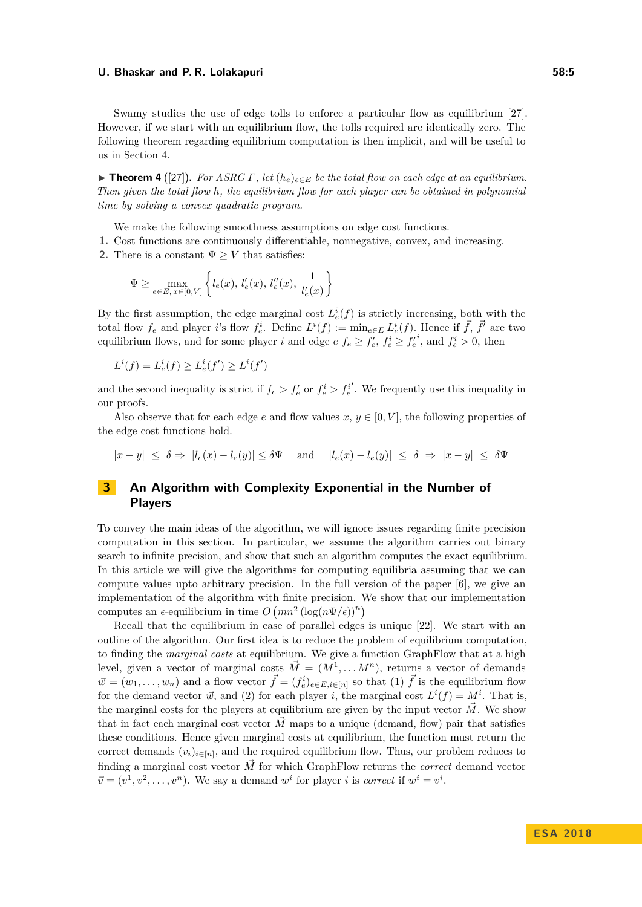Swamy studies the use of edge tolls to enforce a particular flow as equilibrium [\[27\]](#page-13-5). However, if we start with an equilibrium flow, the tolls required are identically zero. The following theorem regarding equilibrium computation is then implicit, and will be useful to us in Section [4.](#page-9-0)

<span id="page-4-1"></span>**Find 1 Figure 4** ([\[27\]](#page-13-5)). For ASRG  $\Gamma$ , let  $(h_e)_{e \in E}$  be the total flow on each edge at an equilibrium. *Then given the total flow h, the equilibrium flow for each player can be obtained in polynomial time by solving a convex quadratic program.*

We make the following smoothness assumptions on edge cost functions.

- **1.** Cost functions are continuously differentiable, nonnegative, convex, and increasing.
- **2.** There is a constant  $\Psi \geq V$  that satisfies:

$$
\Psi \ge \max_{e \in E, x \in [0, V]} \left\{ l_e(x), l'_e(x), l''_e(x), \frac{1}{l'_e(x)} \right\}
$$

By the first assumption, the edge marginal cost  $L_e^i(f)$  is strictly increasing, both with the total flow  $f_e$  and player *i*'s flow  $f_e^i$ . Define  $L^i(f) := \min_{e \in E} L_e^i(f)$ . Hence if  $\vec{f}, \vec{f}'$  are two equilibrium flows, and for some player *i* and edge  $e f_e \ge f'_e, f'_e \ge f'_e$ <sup>*i*</sup>, and  $f^i_e > 0$ , then

$$
L^i(f) = L^i_e(f) \ge L^i_e(f') \ge L^i(f')
$$

and the second inequality is strict if  $f_e > f'_e$  or  $f^i_e > f^i_e$ 0 . We frequently use this inequality in our proofs.

Also observe that for each edge *e* and flow values  $x, y \in [0, V]$ , the following properties of the edge cost functions hold.

 $|x-y| \le \delta \Rightarrow |l_e(x) - l_e(y)| \le \delta \Psi$  and  $|l_e(x) - l_e(y)| \le \delta \Rightarrow |x-y| \le \delta \Psi$ 

# <span id="page-4-0"></span>**3 An Algorithm with Complexity Exponential in the Number of Players**

To convey the main ideas of the algorithm, we will ignore issues regarding finite precision computation in this section. In particular, we assume the algorithm carries out binary search to infinite precision, and show that such an algorithm computes the exact equilibrium. In this article we will give the algorithms for computing equilibria assuming that we can compute values upto arbitrary precision. In the full version of the paper [\[6\]](#page-12-0), we give an implementation of the algorithm with finite precision. We show that our implementation computes an  $\epsilon$ -equilibrium in time  $O(mn^2 (\log(n\Psi/\epsilon))^n)$ 

Recall that the equilibrium in case of parallel edges is unique [\[22\]](#page-13-12). We start with an outline of the algorithm. Our first idea is to reduce the problem of equilibrium computation, to finding the *marginal costs* at equilibrium. We give a function GraphFlow that at a high level, given a vector of marginal costs  $\vec{M} = (M^1, \ldots M^n)$ , returns a vector of demands  $\vec{w} = (w_1, \ldots, w_n)$  and a flow vector  $\vec{f} = (f_e^i)_{e \in E, i \in [n]}$  so that (1)  $\vec{f}$  is the equilibrium flow for the demand vector  $\vec{w}$ , and (2) for each player *i*, the marginal cost  $L^{i}(f) = M^{i}$ . That is, the marginal costs for the players at equilibrium are given by the input vector *M~* . We show that in fact each marginal cost vector  $\vec{M}$  maps to a unique (demand, flow) pair that satisfies these conditions. Hence given marginal costs at equilibrium, the function must return the correct demands  $(v_i)_{i \in [n]}$ , and the required equilibrium flow. Thus, our problem reduces to finding a marginal cost vector  $\vec{M}$  for which GraphFlow returns the *correct* demand vector  $\vec{v} = (v^1, v^2, \dots, v^n)$ . We say a demand  $w^i$  for player *i* is *correct* if  $w^i = v^i$ .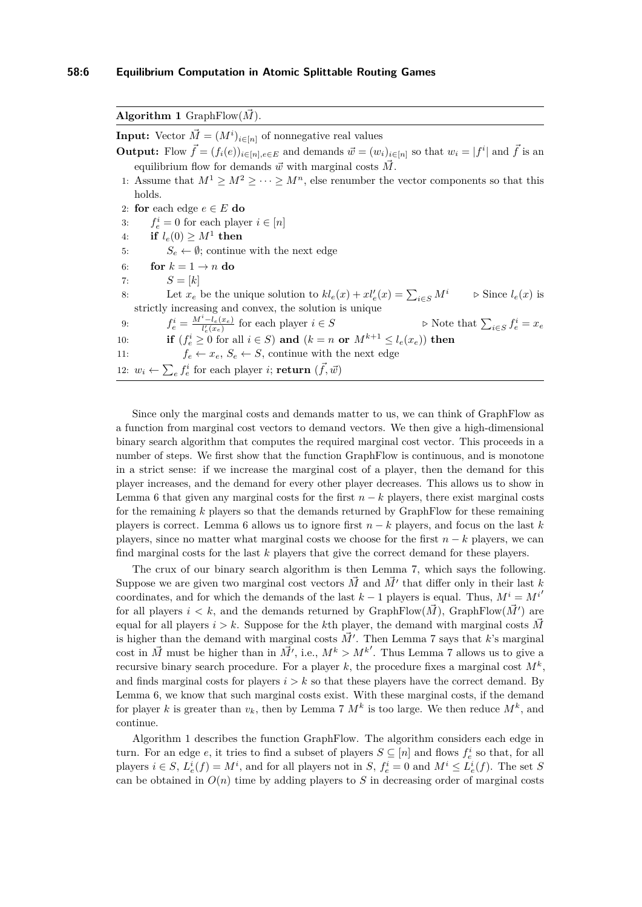<span id="page-5-0"></span>

| Algorithm 1 GraphFlow( $\vec{M}$ ).                                                                                                               |
|---------------------------------------------------------------------------------------------------------------------------------------------------|
| <b>Input:</b> Vector $\vec{M} = (M^i)_{i \in [n]}$ of nonnegative real values                                                                     |
| <b>Output:</b> Flow $\vec{f} = (f_i(e))_{i \in [n], e \in E}$ and demands $\vec{w} = (w_i)_{i \in [n]}$ so that $w_i =  f^i $ and $\vec{f}$ is an |
| equilibrium flow for demands $\vec{w}$ with marginal costs M.                                                                                     |
| 1: Assume that $M^1 \geq M^2 \geq \cdots \geq M^n$ , else renumber the vector components so that this                                             |
| holds.                                                                                                                                            |
| 2: for each edge $e \in E$ do                                                                                                                     |
| 3: $f_e^i = 0$ for each player $i \in [n]$                                                                                                        |
| if $l_e(0) \geq M^1$ then<br>4:                                                                                                                   |
| $S_e \leftarrow \emptyset$ ; continue with the next edge<br>5:                                                                                    |
| for $k = 1 \rightarrow n$ do<br>6:                                                                                                                |
| $S=[k]$<br>7:                                                                                                                                     |
| Let $x_e$ be the unique solution to $kl_e(x) + x l'_e(x) = \sum_{i \in S} M^i$<br>$\triangleright$ Since $l_e(x)$ is<br>8:                        |
| strictly increasing and convex, the solution is unique                                                                                            |
| $f_e^i = \frac{M^i - l_e(x_e)}{l'(x_e)}$ for each player $i \in S$<br>$\triangleright$ Note that $\sum_{i \in S} f_e^i = x_e$<br>9:               |
| if $(f_e^i \geq 0$ for all $i \in S$ ) and $(k = n \text{ or } M^{k+1} \leq l_e(x_e))$ then<br>10:                                                |
| $f_e \leftarrow x_e, S_e \leftarrow S$ , continue with the next edge<br>11:                                                                       |
| 12: $w_i \leftarrow \sum_e f_e^i$ for each player <i>i</i> ; return $(\vec{f}, \vec{w})$                                                          |

Since only the marginal costs and demands matter to us, we can think of GraphFlow as a function from marginal cost vectors to demand vectors. We then give a high-dimensional binary search algorithm that computes the required marginal cost vector. This proceeds in a number of steps. We first show that the function GraphFlow is continuous, and is monotone in a strict sense: if we increase the marginal cost of a player, then the demand for this player increases, and the demand for every other player decreases. This allows us to show in Lemma [6](#page-7-0) that given any marginal costs for the first  $n - k$  players, there exist marginal costs for the remaining *k* players so that the demands returned by GraphFlow for these remaining players is correct. Lemma [6](#page-7-0) allows us to ignore first *n* − *k* players, and focus on the last *k* players, since no matter what marginal costs we choose for the first *n* − *k* players, we can find marginal costs for the last *k* players that give the correct demand for these players.

The crux of our binary search algorithm is then Lemma [7,](#page-7-1) which says the following. Suppose we are given two marginal cost vectors  $\vec{M}$  and  $\vec{M}'$  that differ only in their last *k* coordinates, and for which the demands of the last  $k-1$  players is equal. Thus,  $M^i = M^{i'}$ for all players  $i < k$ , and the demands returned by GraphFlow $(\vec{M})$ , GraphFlow $(\vec{M}')$  are equal for all players  $i > k$ . Suppose for the *k*th player, the demand with marginal costs  $\vec{M}$ is higher than the demand with marginal costs  $\vec{M}'$ . Then Lemma [7](#page-7-1) says that *k*'s marginal cost in  $\vec{M}$  must be higher than in  $\vec{M'}$ , i.e.,  $M^k > M^{k'}$ . Thus Lemma [7](#page-7-1) allows us to give a recursive binary search procedure. For a player *k*, the procedure fixes a marginal cost *M<sup>k</sup>* , and finds marginal costs for players  $i > k$  so that these players have the correct demand. By Lemma [6,](#page-7-0) we know that such marginal costs exist. With these marginal costs, if the demand for player *k* is greater than  $v_k$ , then by Lemma [7](#page-7-1)  $M^k$  is too large. We then reduce  $M^k$ , and continue.

Algorithm [1](#page-5-0) describes the function GraphFlow. The algorithm considers each edge in turn. For an edge *e*, it tries to find a subset of players  $S \subseteq [n]$  and flows  $f_e^i$  so that, for all players  $i \in S$ ,  $L_e^i(f) = M^i$ , and for all players not in S,  $f_e^i = 0$  and  $M^i \leq L_e^i(f)$ . The set S can be obtained in  $O(n)$  time by adding players to *S* in decreasing order of marginal costs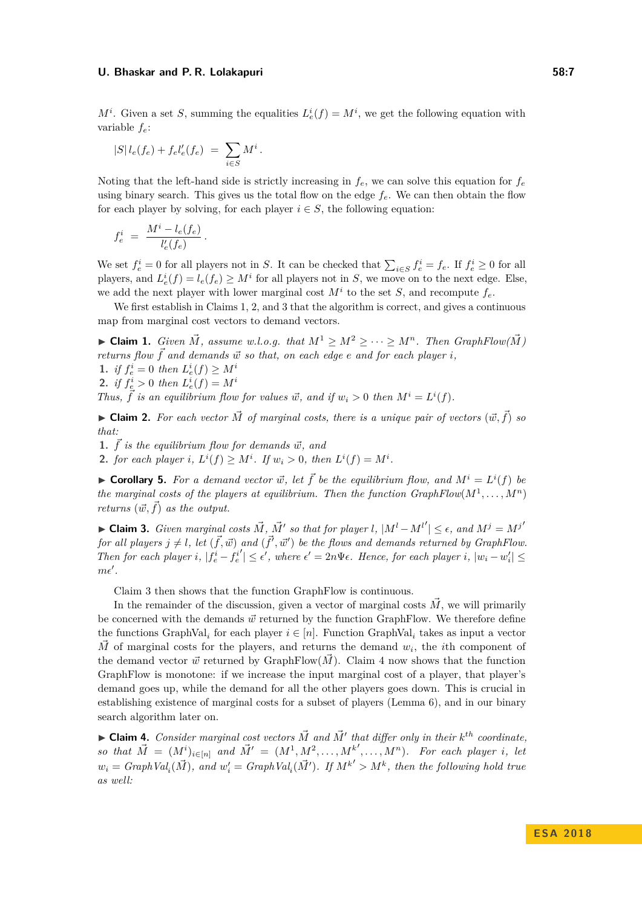$M^i$ . Given a set *S*, summing the equalities  $L^i_e(f) = M^i$ , we get the following equation with variable *fe*:

$$
|S| l_e(f_e) + f_e l'_e(f_e) = \sum_{i \in S} M^i.
$$

Noting that the left-hand side is strictly increasing in  $f_e$ , we can solve this equation for  $f_e$ using binary search. This gives us the total flow on the edge  $f_e$ . We can then obtain the flow for each player by solving, for each player  $i \in S$ , the following equation:

$$
f_e^i = \frac{M^i - l_e(f_e)}{l'_e(f_e)}.
$$

We set  $f_e^i = 0$  for all players not in *S*. It can be checked that  $\sum_{i \in S} f_e^i = f_e$ . If  $f_e^i \ge 0$  for all players, and  $L_e^i(f) = l_e(f_e) \geq M^i$  for all players not in *S*, we move on to the next edge. Else, we add the next player with lower marginal cost  $M^i$  to the set *S*, and recompute  $f_e$ .

We first establish in Claims [1,](#page-6-0) [2,](#page-6-1) and [3](#page-6-2) that the algorithm is correct, and gives a continuous map from marginal cost vectors to demand vectors.

▶ **Claim 1.** *Given*  $\vec{M}$ , assume w.l.o.g. that  $M^1 \geq M^2 \geq \cdots \geq M^n$ . Then  $GraphFlow(\vec{M})$ *returns flow*  $\vec{f}$  *and demands*  $\vec{w}$  *so that, on each edge e and for each player i*, **1.** *if*  $f_e^i = 0$  *then*  $L_e^i(f) \geq M^i$ 

<span id="page-6-0"></span>**2.** *if*  $f_e^i > 0$  *then*  $L_e^i(f) = M^i$ 

*Thus,*  $\overrightarrow{f}$  *is an equilibrium flow for values*  $\overrightarrow{w}$ *, and if*  $w_i > 0$  *then*  $M^i = L^i(f)$ *.* 

<span id="page-6-1"></span> $\blacktriangleright$  **Claim 2.** For each vector  $\vec{M}$  of marginal costs, there is a unique pair of vectors  $(\vec{w}, \vec{f})$  so *that:*

**1.**  $\vec{f}$  *is the equilibrium flow for demands*  $\vec{w}$ *, and* 

**2.** *for each player i*,  $L^{i}(f) \geq M^{i}$ *. If*  $w_{i} > 0$ *, then*  $L^{i}(f) = M^{i}$ *.* 

 $\blacktriangleright$  **Corollary 5.** For a demand vector  $\vec{w}$ , let  $\vec{f}$  be the equilibrium flow, and  $M^i = L^i(f)$  be *the marginal costs of the players at equilibrium. Then the function*  $GraphFlow(M^1, \ldots, M^n)$ *returns*  $(\vec{w}, \vec{f})$  *as the output.* 

<span id="page-6-2"></span>► **Claim 3.** *Given marginal costs*  $\vec{M}$ *,*  $\vec{M}'$  so that for player *l*,  $|M^l - M^{l'}| \leq \epsilon$ , and  $M^j = M^{j'}$ *for all players*  $j \neq l$ , let  $(\vec{f}, \vec{w})$  *and*  $(\vec{f}', \vec{w}')$  *be the flows and demands returned by GraphFlow. Then for each player i*,  $|f_e^i - f_e^i|$  $\mathcal{L}' | \leq \epsilon'$ , where  $\epsilon' = 2n\Psi\epsilon$ . Hence, for each player *i*,  $|w_i - w'_i| \leq$  $m\epsilon'$ .

Claim [3](#page-6-2) then shows that the function GraphFlow is continuous.

In the remainder of the discussion, given a vector of marginal costs  $\tilde{M}$ , we will primarily be concerned with the demands  $\vec{w}$  returned by the function GraphFlow. We therefore define the functions GraphVal<sub>*i*</sub> for each player  $i \in [n]$ . Function GraphVal<sub>*i*</sub> takes as input a vector  $\vec{M}$  of marginal costs for the players, and returns the demand  $w_i$ , the *i*th component of the demand vector  $\vec{w}$  returned by GraphFlow( $\vec{M}$ ). Claim [4](#page-6-3) now shows that the function GraphFlow is monotone: if we increase the input marginal cost of a player, that player's demand goes up, while the demand for all the other players goes down. This is crucial in establishing existence of marginal costs for a subset of players (Lemma [6\)](#page-7-0), and in our binary search algorithm later on.

<span id="page-6-3"></span> $\blacktriangleright$  **Claim 4.** *Consider marginal cost vectors*  $\vec{M}$  *and*  $\vec{M}'$  *that differ only in their*  $k^{th}$  *coordinate, so that*  $\vec{M} = (M^i)_{i \in [n]}$  and  $\vec{M}' = (M^1, M^2, \dots, M^{k'}, \dots, M^n)$ . For each player *i*, let  $w_i = GraphVal_i(\vec{M})$ , and  $w'_i = GraphVal_i(\vec{M}')$ . If  $M^{k'} > M^k$ , then the following hold true *as well:*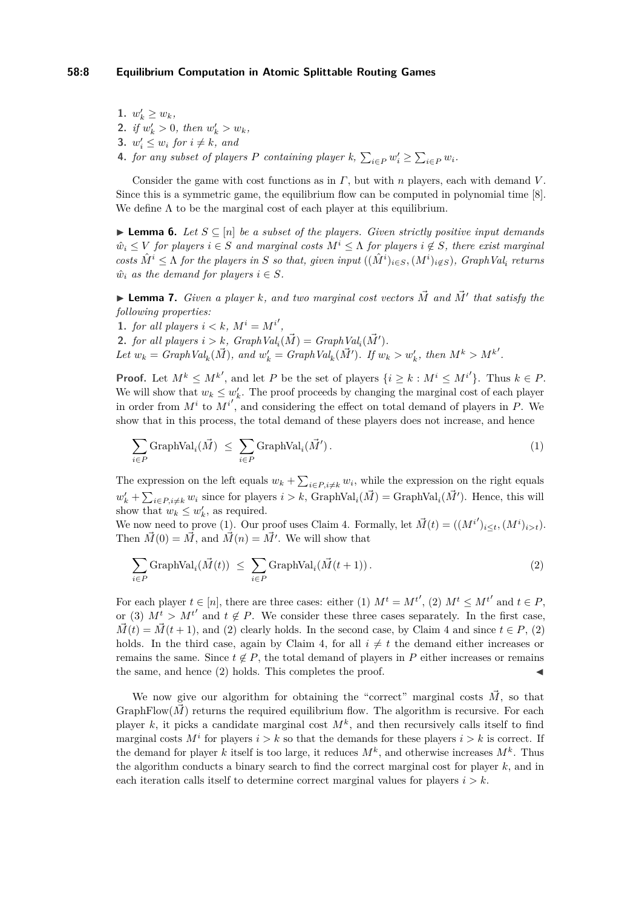**1.**  $w'_k \geq w_k$ **2.** *if*  $w'_k > 0$ *, then*  $w'_k > w_k$ *,* **3.**  $w'_i \leq w_i$  for  $i \neq k$ , and **4.** *for any subset of players P containing player*  $k$ ,  $\sum_{i \in P} w_i' \geq \sum_{i \in P} w_i$ *.* 

Consider the game with cost functions as in *Γ*, but with *n* players, each with demand *V* . Since this is a symmetric game, the equilibrium flow can be computed in polynomial time [\[8\]](#page-12-4). We define  $\Lambda$  to be the marginal cost of each player at this equilibrium.

<span id="page-7-0"></span>**► Lemma 6.** Let  $S \subseteq [n]$  be a subset of the players. Given strictly positive input demands  $\hat{w}_i \leq V$  *for players*  $i \in S$  *and marginal costs*  $M^i \leq \Lambda$  *for players*  $i \notin S$ *, there exist marginal* costs  $\hat{M}^i \leq \Lambda$  for the players in S so that, given input  $((\hat{M}^i)_{i \in S}, (M^i)_{i \notin S})$ , GraphVal<sub>i</sub> returns  $\hat{w}_i$  *as the demand for players*  $i \in S$ *.* 

<span id="page-7-1"></span> $\blacktriangleright$  **Lemma 7.** *Given a player k, and two marginal cost vectors*  $\vec{M}$  *and*  $\vec{M}'$  *that satisfy the following properties:*

**1.** *for all players*  $i < k$ *,*  $M^i = M^{i'}$ *,* 

**2.** *for all players*  $i > k$ *,*  $GraphVal_i(\vec{M}) = GraphVal_i(\vec{M}')$ *.* 

Let  $w_k = GraphVal_k(\vec{M})$ , and  $w'_k = GraphVal_k(\vec{M}')$ . If  $w_k > w'_k$ , then  $M^k > M^{k'}$ .

**Proof.** Let  $M^k \leq M^{k'}$ , and let *P* be the set of players  $\{i \geq k : M^i \leq M^{i'}\}$ . Thus  $k \in P$ . We will show that  $w_k \leq w'_k$ . The proof proceeds by changing the marginal cost of each player in order from  $M^i$  to  $M^{i'}$ , and considering the effect on total demand of players in *P*. We show that in this process, the total demand of these players does not increase, and hence

<span id="page-7-2"></span>
$$
\sum_{i \in P} \text{GraphVal}_i(\vec{M}) \le \sum_{i \in P} \text{GraphVal}_i(\vec{M}'). \tag{1}
$$

The expression on the left equals  $w_k + \sum_{i \in P, i \neq k} w_i$ , while the expression on the right equals  $w'_k + \sum_{i \in P, i \neq k} w_i$  since for players  $i > k$ , GraphVal<sub>*i*</sub>( $\vec{M}$ ) = GraphVal<sub>*i*</sub>( $\vec{M}'$ ). Hence, this will show that  $w_k \leq w'_k$ , as required.

We now need to prove [\(1\)](#page-7-2). Our proof uses Claim [4.](#page-6-3) Formally, let  $\vec{M}(t) = ((M^{i'})_{i \leq t}, (M^i)_{i > t})$ . Then  $\vec{M}(0) = \vec{M}$ , and  $\vec{M}(n) = \vec{M'}$ . We will show that

<span id="page-7-3"></span>
$$
\sum_{i \in P} \text{GraphVal}_i(\vec{M}(t)) \le \sum_{i \in P} \text{GraphVal}_i(\vec{M}(t+1)).
$$
\n(2)

For each player  $t \in [n]$ , there are three cases: either (1)  $M^t = M^{t'}$ , (2)  $M^t \leq M^{t'}$  and  $t \in P$ , or (3)  $M^t > M^{t'}$  and  $t \notin P$ . We consider these three cases separately. In the first case,  $\vec{M}(t) = \vec{M}(t+1)$ , and [\(2\)](#page-7-3) clearly holds. In the second case, by Claim [4](#page-6-3) and since  $t \in P$ , (2) holds. In the third case, again by Claim [4,](#page-6-3) for all  $i \neq t$  the demand either increases or remains the same. Since  $t \notin P$ , the total demand of players in  $P$  either increases or remains the same, and hence  $(2)$  holds. This completes the proof.

We now give our algorithm for obtaining the "correct" marginal costs  $\vec{M}$ , so that GraphFlow( $\vec{M}$ ) returns the required equilibrium flow. The algorithm is recursive. For each player  $k$ , it picks a candidate marginal cost  $M^k$ , and then recursively calls itself to find marginal costs  $M^i$  for players  $i > k$  so that the demands for these players  $i > k$  is correct. If the demand for player *k* itself is too large, it reduces  $M^k$ , and otherwise increases  $M^k$ . Thus the algorithm conducts a binary search to find the correct marginal cost for player *k*, and in each iteration calls itself to determine correct marginal values for players  $i > k$ .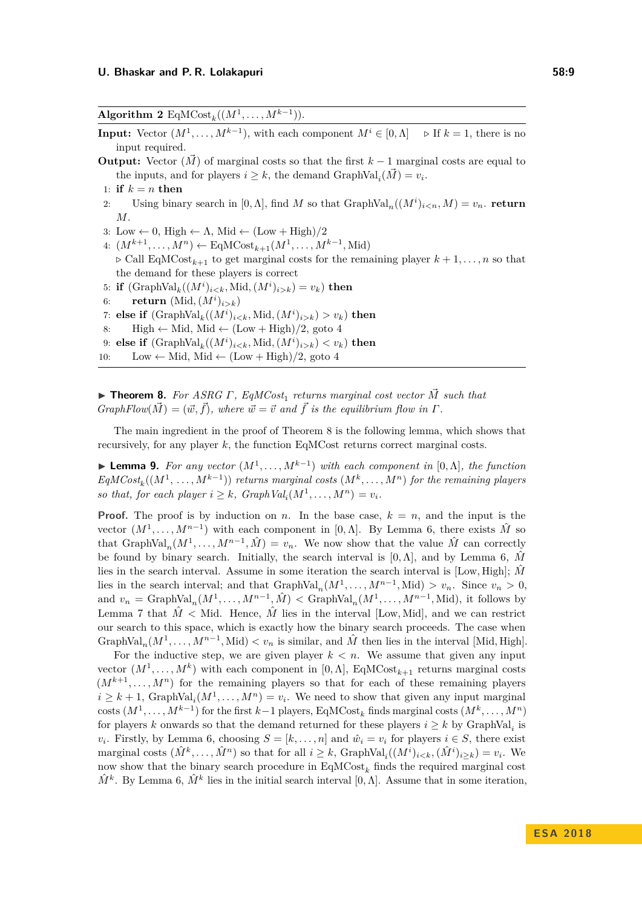<span id="page-8-0"></span>Algorithm 2  $\text{EqMCost}_k((M^1, \ldots, M^{k-1})).$ **Input:** Vector  $(M^1, \ldots, M^{k-1})$ , with each component  $M^i \in [0, \Lambda]$   $\Rightarrow$  If  $k = 1$ , there is no input required. **Output:** Vector  $(M)$  of marginal costs so that the first  $k-1$  marginal costs are equal to the inputs, and for players  $i \geq k$ , the demand  $\text{GraphVal}_i(\vec{M}) = v_i$ . 1: **if**  $k = n$  **then** 2: Using binary search in  $[0, \Lambda]$ , find *M* so that  $\text{GraphVal}_n((M^i)_{i \le n}, M) = v_n$ . **return** *M*. 3: Low  $\leftarrow 0$ , High  $\leftarrow \Lambda$ , Mid  $\leftarrow$  (Low + High)/2 4:  $(M^{k+1}, ..., M^n)$  ← EqMCost<sub>k+1</sub> $(M^1, ..., M^{k-1}, \text{Mid})$  $\triangleright$  Call EqMCost<sub>k+1</sub> to get marginal costs for the remaining player  $k+1, \ldots, n$  so that the demand for these players is correct 5: **if**  $(\text{GraphVal}_k((M^i)_{i < k}, \text{Mid}, (M^i)_{i > k}) = v_k)$  then 6: **return**  $(\text{Mid}, (M^i)_{i>k})$ 7: **else if**  $(\text{GraphVal}_k((M^i)_{i \leq k}, \text{Mid}, (M^i)_{i > k}) > v_k)$  then 8: High ← Mid, Mid ←  $(Low + High)/2$ , goto [4](#page-8-0) 9: **else if**  $(\text{GraphVal}_k((M^i)_{i \leq k}, \text{Mid}, (M^i)_{i > k}) \leq v_k)$  then 10: Low  $\leftarrow$  Mid, Mid  $\leftarrow$  (Low + High)/2, goto [4](#page-8-0)

<span id="page-8-1"></span> $▶$  **Theorem 8.** For ASRG Γ, EqMCost<sub>1</sub> returns marginal cost vector  $\vec{M}$  such that  $GraphFlow(\vec{M}) = (\vec{w}, \vec{f})$ , where  $\vec{w} = \vec{v}$  and  $\vec{f}$  is the equilibrium flow in  $\Gamma$ .

The main ingredient in the proof of Theorem [8](#page-8-1) is the following lemma, which shows that recursively, for any player *k*, the function EqMCost returns correct marginal costs.

<span id="page-8-2"></span>**► Lemma 9.** For any vector  $(M^1, \ldots, M^{k-1})$  with each component in [0,  $\Lambda$ ], the function  $EqMCost_k((M^1, \ldots, M^{k-1}))$  *returns marginal costs*  $(M^k, \ldots, M^n)$  *for the remaining players so that, for each player*  $i \geq k$ *, GraphVal*<sub>*i*</sub>( $M^1, \ldots, M^n$ ) =  $v_i$ *.* 

**Proof.** The proof is by induction on *n*. In the base case,  $k = n$ , and the input is the vector  $(M^1, \ldots, M^{n-1})$  with each component in [0,  $\Lambda$ ]. By Lemma [6,](#page-7-0) there exists  $\hat{M}$  so that  $\text{GraphVal}_n(M^1, \ldots, M^{n-1}, \hat{M}) = v_n$ . We now show that the value  $\hat{M}$  can correctly be found by binary search. Initially, the search interval is  $[0, \Lambda]$ , and by Lemma [6,](#page-7-0) M lies in the search interval. Assume in some iteration the search interval is [Low, High];  $\hat{M}$ lies in the search interval; and that  $GraphVal_n(M^1, ..., M^{n-1}, Mid) > v_n$ . Since  $v_n > 0$ , and  $v_n = \text{GraphVal}_n(M^1, \ldots, M^{n-1}, \hat{M}) < \text{GraphVal}_n(M^1, \ldots, M^{n-1}, \text{Mid})$ , it follows by Lemma [7](#page-7-1) that  $\hat{M} <$  Mid. Hence,  $\hat{M}$  lies in the interval [Low, Mid], and we can restrict our search to this space, which is exactly how the binary search proceeds. The case when GraphVal<sub>n</sub> $(M^1, \ldots, M^{n-1}, \text{Mid}) < v_n$  is similar, and  $\hat{M}$  then lies in the interval [Mid, High].

For the inductive step, we are given player  $k < n$ . We assume that given any input vector  $(M^1, \ldots, M^k)$  with each component in [0,  $\Lambda$ ], EqMCost<sub>k+1</sub> returns marginal costs  $(M^{k+1}, \ldots, M^n)$  for the remaining players so that for each of these remaining players  $i \geq k+1$ , GraphVal<sub>*i*</sub>( $M^1, \ldots, M^n$ ) =  $v_i$ . We need to show that given any input marginal costs  $(M^1, \ldots, M^{k-1})$  for the first  $k-1$  players, EqMCost<sub>k</sub> finds marginal costs  $(M^k, \ldots, M^n)$ for players *k* onwards so that the demand returned for these players  $i \geq k$  by GraphVal<sub>*i*</sub> is *v*<sub>*i*</sub>. Firstly, by Lemma [6,](#page-7-0) choosing  $S = [k, ..., n]$  and  $\hat{w}_i = v_i$  for players  $i \in S$ , there exist marginal costs  $(\hat{M}^k, \ldots, \hat{M}^n)$  so that for all  $i \geq k$ ,  $GraphVal_i((M^i)_{i \leq k}, (\hat{M}^i)_{i \geq k}) = v_i$ . We now show that the binary search procedure in EqMCost*<sup>k</sup>* finds the required marginal cost  $\hat{M}^k$ . By Lemma [6,](#page-7-0)  $\hat{M}^k$  lies in the initial search interval [0, Λ]. Assume that in some iteration,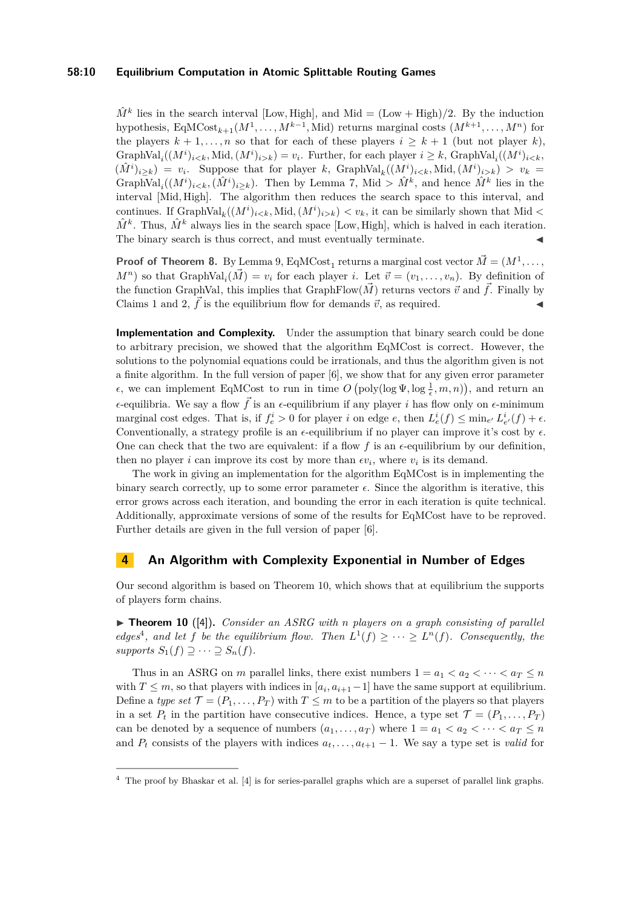### **58:10 Equilibrium Computation in Atomic Splittable Routing Games**

 $\hat{M}^k$  lies in the search interval [Low, High], and Mid = (Low + High)/2. By the induction hypothesis,  $EqMCost_{k+1}(M^1, \ldots, M^{k-1}, \text{Mid})$  returns marginal costs  $(M^{k+1}, \ldots, M^n)$  for the players  $k + 1, \ldots, n$  so that for each of these players  $i \geq k + 1$  (but not player *k*), GraphVal<sub>*i*</sub>( $(M^{i})_{i < k}$ , Mid,  $(M^{i})_{i > k}$ ) = *v<sub>i</sub>*. Further, for each player  $i \geq k$ , GraphVal<sub>*i*</sub>( $(M^{i})_{i < k}$ ,  $(\hat{M}^i)_{i \geq k}$  =  $v_i$ . Suppose that for player *k*, GraphVal<sub>*k*</sub> $((M^i)_{i \leq k},$ Mid, $(M^i)_{i \geq k}) > v_k$  = GraphVal<sub>*i*</sub>( $(M^{i})_{i < k}$ ,  $(\hat{M}^{i})_{i \ge k}$ ). Then by Lemma [7,](#page-7-1) Mid >  $\hat{M}^{k}$ , and hence  $\hat{M}^{k}$  lies in the interval [Mid*,* High]. The algorithm then reduces the search space to this interval, and continues. If  $GraphVal_k((M^i)_{i < k}, Mid, (M^i)_{i > k}) < v_k$ , it can be similarly shown that Mid  $\lt$  $\hat{M}^k$ . Thus,  $\hat{M}^k$  always lies in the search space [Low, High], which is halved in each iteration. The binary search is thus correct, and must eventually terminate.

**Proof of Theorem [8.](#page-8-1)** By Lemma [9,](#page-8-2)  $EqMCost_1$  returns a marginal cost vector  $\vec{M} = (M^1, \ldots,$  $M^{n}$ ) so that GraphVal<sub>*i*</sub>( $\vec{M}$ ) =  $v_i$  for each player *i*. Let  $\vec{v} = (v_1, \ldots, v_n)$ . By definition of the function GraphVal, this implies that GraphFlow( $\vec{M}$ ) returns vectors  $\vec{v}$  and  $\vec{f}$ . Finally by Claims [1](#page-6-0) and [2,](#page-6-1)  $\vec{f}$  is the equilibrium flow for demands  $\vec{v}$ , as required.

**Implementation and Complexity.** Under the assumption that binary search could be done to arbitrary precision, we showed that the algorithm EqMCost is correct. However, the solutions to the polynomial equations could be irrationals, and thus the algorithm given is not a finite algorithm. In the full version of paper [\[6\]](#page-12-0), we show that for any given error parameter *ε*, we can implement EqMCost to run in time  $O(poly(log \Psi, log \frac{1}{\epsilon}, m, n)),$  and return an  $\epsilon$ -equilibria. We say a flow  $\vec{f}$  is an  $\epsilon$ -equilibrium if any player *i* has flow only on  $\epsilon$ -minimum marginal cost edges. That is, if  $f_e^i > 0$  for player *i* on edge *e*, then  $L_e^i(f) \le \min_{e'} L_{e'}^i(f) + \epsilon$ . Conventionally, a strategy profile is an  $\epsilon$ -equilibrium if no player can improve it's cost by  $\epsilon$ . One can check that the two are equivalent: if a flow  $f$  is an  $\epsilon$ -equilibrium by our definition, then no player *i* can improve its cost by more than  $\epsilon v_i$ , where  $v_i$  is its demand.

The work in giving an implementation for the algorithm EqMCost is in implementing the binary search correctly, up to some error parameter  $\epsilon$ . Since the algorithm is iterative, this error grows across each iteration, and bounding the error in each iteration is quite technical. Additionally, approximate versions of some of the results for EqMCost have to be reproved. Further details are given in the full version of paper [\[6\]](#page-12-0).

### <span id="page-9-0"></span>**4 An Algorithm with Complexity Exponential in Number of Edges**

Our second algorithm is based on Theorem [10,](#page-9-1) which shows that at equilibrium the supports of players form chains.

<span id="page-9-1"></span> $\triangleright$  **Theorem 10** ([\[4\]](#page-12-6)). *Consider an ASRG with n players on a graph consisting of parallel edges<sup>[4](#page-9-2)</sup>*, and let *f* be the equilibrium flow. Then  $L^1(f) \geq \cdots \geq L^n(f)$ . Consequently, the  $supports S_1(f) \supseteq \cdots \supseteq S_n(f)$ .

Thus in an ASRG on *m* parallel links, there exist numbers  $1 = a_1 < a_2 < \cdots < a_T \leq n$ with  $T \leq m$ , so that players with indices in  $[a_i, a_{i+1}-1]$  have the same support at equilibrium. Define a *type set*  $\mathcal{T} = (P_1, \ldots, P_T)$  with  $T \leq m$  to be a partition of the players so that players in a set  $P_t$  in the partition have consecutive indices. Hence, a type set  $\mathcal{T} = (P_1, \ldots, P_T)$ can be denoted by a sequence of numbers  $(a_1, \ldots, a_T)$  where  $1 = a_1 < a_2 < \cdots < a_T \leq n$ and  $P_t$  consists of the players with indices  $a_t, \ldots, a_{t+1} - 1$ . We say a type set is *valid* for

<span id="page-9-2"></span><sup>4</sup> The proof by Bhaskar et al. [\[4\]](#page-12-6) is for series-parallel graphs which are a superset of parallel link graphs.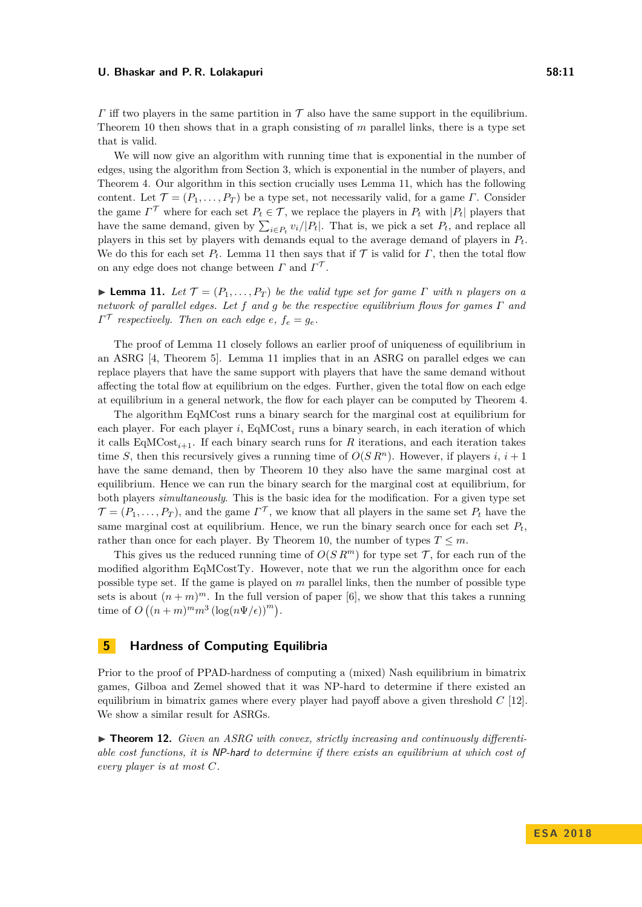*Γ* iff two players in the same partition in  $\mathcal T$  also have the same support in the equilibrium. Theorem [10](#page-9-1) then shows that in a graph consisting of *m* parallel links, there is a type set that is valid.

We will now give an algorithm with running time that is exponential in the number of edges, using the algorithm from Section [3,](#page-4-0) which is exponential in the number of players, and Theorem [4.](#page-4-1) Our algorithm in this section crucially uses Lemma [11,](#page-10-0) which has the following content. Let  $\mathcal{T} = (P_1, \ldots, P_T)$  be a type set, not necessarily valid, for a game *Γ*. Consider the game  $\Gamma^{\mathcal{T}}$  where for each set  $P_t \in \mathcal{T}$ , we replace the players in  $P_t$  with  $|P_t|$  players that have the same demand, given by  $\sum_{i \in P_t} v_i / |P_t|$ . That is, we pick a set  $P_t$ , and replace all players in this set by players with demands equal to the average demand of players in *Pt*. We do this for each set  $P_t$ . Lemma [11](#page-10-0) then says that if  $\mathcal T$  is valid for  $\Gamma$ , then the total flow on any edge does not change between  $\Gamma$  and  $\Gamma^{\mathcal{T}}$ .

<span id="page-10-0"></span>**Lemma 11.** *Let*  $\mathcal{T} = (P_1, \ldots, P_T)$  *be the valid type set for game*  $\Gamma$  *with n players on a network of parallel edges. Let f and g be the respective equilibrium flows for games Γ and*  $\Gamma^{\mathcal{T}}$  respectively. Then on each edge *e*,  $f_e = g_e$ .

The proof of Lemma [11](#page-10-0) closely follows an earlier proof of uniqueness of equilibrium in an ASRG [\[4,](#page-12-6) Theorem 5]. Lemma [11](#page-10-0) implies that in an ASRG on parallel edges we can replace players that have the same support with players that have the same demand without affecting the total flow at equilibrium on the edges. Further, given the total flow on each edge at equilibrium in a general network, the flow for each player can be computed by Theorem [4.](#page-4-1)

The algorithm EqMCost runs a binary search for the marginal cost at equilibrium for each player. For each player *i*, EqMCost<sub>*i*</sub> runs a binary search, in each iteration of which it calls  $EqMCost_{i+1}$ . If each binary search runs for *R* iterations, and each iteration takes time *S*, then this recursively gives a running time of  $O(S R^n)$ . However, if players *i*,  $i + 1$ have the same demand, then by Theorem [10](#page-9-1) they also have the same marginal cost at equilibrium. Hence we can run the binary search for the marginal cost at equilibrium, for both players *simultaneously*. This is the basic idea for the modification. For a given type set  $\mathcal{T} = (P_1, \ldots, P_T)$ , and the game  $\Gamma^{\mathcal{T}}$ , we know that all players in the same set  $P_t$  have the same marginal cost at equilibrium. Hence, we run the binary search once for each set  $P_t$ , rather than once for each player. By Theorem [10,](#page-9-1) the number of types  $T \leq m$ .

This gives us the reduced running time of  $O(S R<sup>m</sup>)$  for type set  $\mathcal{T}$ , for each run of the modified algorithm EqMCostTy. However, note that we run the algorithm once for each possible type set. If the game is played on *m* parallel links, then the number of possible type sets is about  $(n+m)^m$ . In the full version of paper [\[6\]](#page-12-0), we show that this takes a running time of  $O((n+m)^m m^3 (\log(n\Psi/\epsilon))^m)$ .

### **5 Hardness of Computing Equilibria**

Prior to the proof of PPAD-hardness of computing a (mixed) Nash equilibrium in bimatrix games, Gilboa and Zemel showed that it was NP-hard to determine if there existed an equilibrium in bimatrix games where every player had payoff above a given threshold *C* [\[12\]](#page-12-10). We show a similar result for ASRGs.

▶ **Theorem 12.** *Given an ASRG with convex, strictly increasing and continuously differentiable cost functions, it is* NP-hard *to determine if there exists an equilibrium at which cost of every player is at most C.*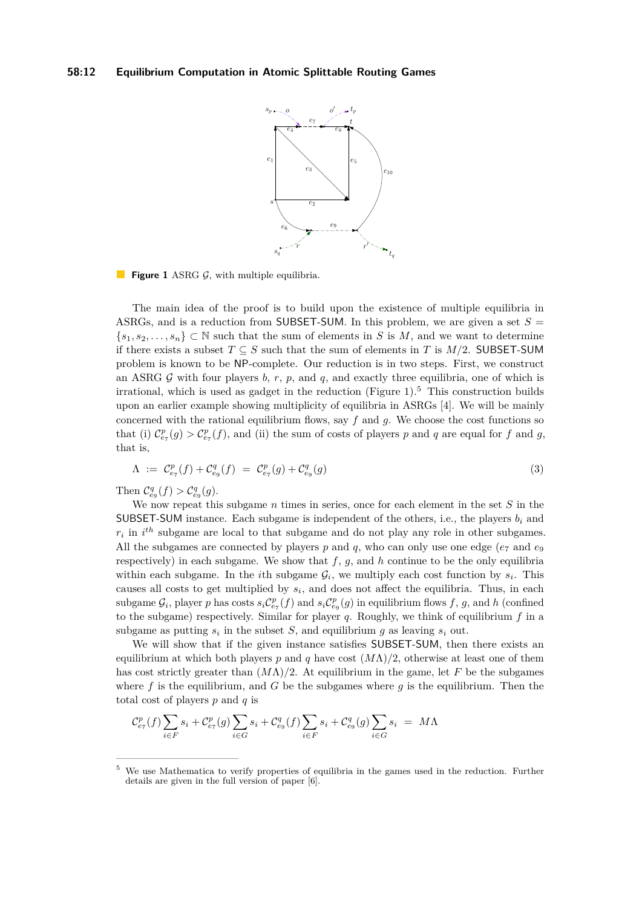### <span id="page-11-0"></span>**58:12 Equilibrium Computation in Atomic Splittable Routing Games**



**Figure 1** ASRG  $G$ , with multiple equilibria.

The main idea of the proof is to build upon the existence of multiple equilibria in ASRGs, and is a reduction from SUBSET-SUM. In this problem, we are given a set  $S =$  $\{s_1, s_2, \ldots, s_n\} \subset \mathbb{N}$  such that the sum of elements in *S* is *M*, and we want to determine if there exists a subset  $T \subseteq S$  such that the sum of elements in *T* is  $M/2$ . SUBSET-SUM problem is known to be NP-complete. Our reduction is in two steps. First, we construct an ASRG  $G$  with four players  $b, r, p$ , and  $q$ , and exactly three equilibria, one of which is irrational, which is used as gadget in the reduction (Figure  $1$ ).<sup>[5](#page-11-1)</sup> This construction builds upon an earlier example showing multiplicity of equilibria in ASRGs [\[4\]](#page-12-6). We will be mainly concerned with the rational equilibrium flows, say  $f$  and  $g$ . We choose the cost functions so that (i)  $C_{e_7}^p(g) > C_{e_7}^p(f)$ , and (ii) the sum of costs of players *p* and *q* are equal for *f* and *g*, that is,

<span id="page-11-2"></span>
$$
\Lambda := C_{e_7}^p(f) + C_{e_9}^q(f) = C_{e_7}^p(g) + C_{e_9}^q(g)
$$
\n(3)

Then  $C_{e_9}^q(f) > C_{e_9}^q(g)$ .

We now repeat this subgame *n* times in series, once for each element in the set *S* in the SUBSET-SUM instance. Each subgame is independent of the others, i.e., the players *b<sup>i</sup>* and  $r_i$  in  $i^{th}$  subgame are local to that subgame and do not play any role in other subgames. All the subgames are connected by players  $p$  and  $q$ , who can only use one edge ( $e<sub>7</sub>$  and  $e<sub>9</sub>$ ) respectively) in each subgame. We show that  $f, g$ , and  $h$  continue to be the only equilibria within each subgame. In the *i*th subgame  $\mathcal{G}_i$ , we multiply each cost function by  $s_i$ . This causes all costs to get multiplied by  $s_i$ , and does not affect the equilibria. Thus, in each subgame  $\mathcal{G}_i$ , player *p* has costs  $s_i\mathcal{C}_{e_7}^p(f)$  and  $s_i\mathcal{C}_{e_9}^p(g)$  in equilibrium flows  $f, g$ , and  $h$  (confined to the subgame) respectively. Similar for player *q*. Roughly, we think of equilibrium *f* in a subgame as putting  $s_i$  in the subset  $S$ , and equilibrium  $g$  as leaving  $s_i$  out.

We will show that if the given instance satisfies SUBSET-SUM, then there exists an equilibrium at which both players *p* and *q* have cost (*M*Λ)*/*2, otherwise at least one of them has cost strictly greater than  $(M\Lambda)/2$ . At equilibrium in the game, let F be the subgames where  $f$  is the equilibrium, and  $G$  be the subgames where  $g$  is the equilibrium. Then the total cost of players *p* and *q* is

$$
\mathcal{C}^p_{e_7}(f) \sum_{i \in F} s_i + \mathcal{C}^p_{e_7}(g) \sum_{i \in G} s_i + \mathcal{C}^q_{e_9}(f) \sum_{i \in F} s_i + \mathcal{C}^q_{e_9}(g) \sum_{i \in G} s_i = M\Lambda
$$

<span id="page-11-1"></span>We use Mathematica to verify properties of equilibria in the games used in the reduction. Further details are given in the full version of paper [\[6\]](#page-12-0).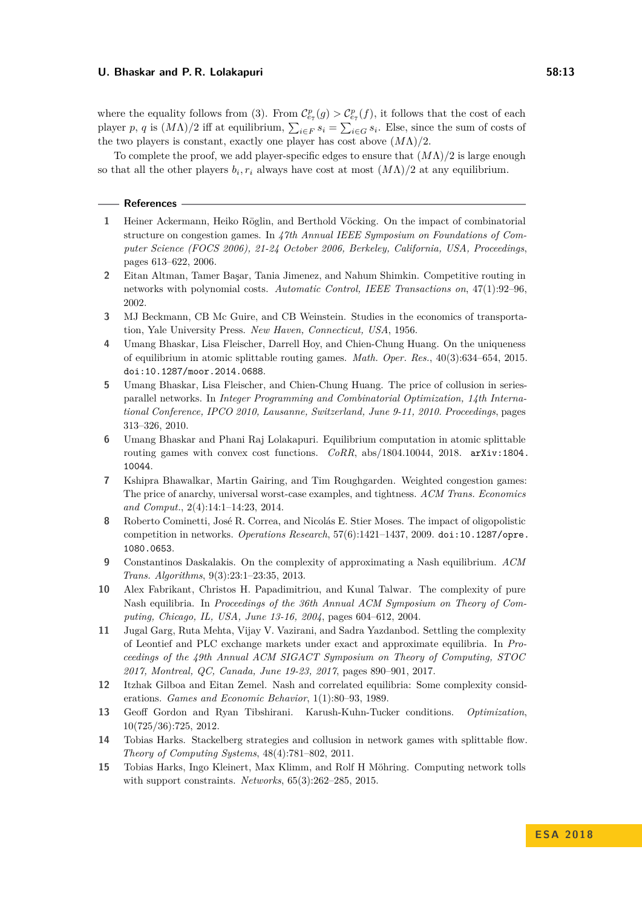where the equality follows from [\(3\)](#page-11-2). From  $C_{e_7}^p(g) > C_{e_7}^p(f)$ , it follows that the cost of each player *p*, *q* is  $(M\Lambda)/2$  iff at equilibrium,  $\sum_{i \in F} s_i = \sum_{i \in G} s_i$ . Else, since the sum of costs of the two players is constant, exactly one player has cost above  $(M\Lambda)/2$ .

To complete the proof, we add player-specific edges to ensure that (*M*Λ)*/*2 is large enough so that all the other players  $b_i$ ,  $r_i$  always have cost at most  $(M\Lambda)/2$  at any equilibrium.

**References**

- <span id="page-12-13"></span>**1** Heiner Ackermann, Heiko Röglin, and Berthold Vöcking. On the impact of combinatorial structure on congestion games. In *47th Annual IEEE Symposium on Foundations of Computer Science (FOCS 2006), 21-24 October 2006, Berkeley, California, USA, Proceedings*, pages 613–622, 2006.
- <span id="page-12-11"></span>**2** Eitan Altman, Tamer Başar, Tania Jimenez, and Nahum Shimkin. Competitive routing in networks with polynomial costs. *Automatic Control, IEEE Transactions on*, 47(1):92–96, 2002.
- <span id="page-12-12"></span>**3** MJ Beckmann, CB Mc Guire, and CB Weinstein. Studies in the economics of transportation, Yale University Press. *New Haven, Connecticut, USA*, 1956.
- <span id="page-12-6"></span>**4** Umang Bhaskar, Lisa Fleischer, Darrell Hoy, and Chien-Chung Huang. On the uniqueness of equilibrium in atomic splittable routing games. *Math. Oper. Res.*, 40(3):634–654, 2015. [doi:10.1287/moor.2014.0688](http://dx.doi.org/10.1287/moor.2014.0688).
- <span id="page-12-8"></span>**5** Umang Bhaskar, Lisa Fleischer, and Chien-Chung Huang. The price of collusion in seriesparallel networks. In *Integer Programming and Combinatorial Optimization, 14th International Conference, IPCO 2010, Lausanne, Switzerland, June 9-11, 2010. Proceedings*, pages 313–326, 2010.
- <span id="page-12-0"></span>**6** Umang Bhaskar and Phani Raj Lolakapuri. Equilibrium computation in atomic splittable routing games with convex cost functions. *CoRR*, abs/1804.10044, 2018. [arXiv:1804.](http://arxiv.org/abs/1804.10044) [10044](http://arxiv.org/abs/1804.10044).
- <span id="page-12-9"></span>**7** Kshipra Bhawalkar, Martin Gairing, and Tim Roughgarden. Weighted congestion games: The price of anarchy, universal worst-case examples, and tightness. *ACM Trans. Economics and Comput.*, 2(4):14:1–14:23, 2014.
- <span id="page-12-4"></span>**8** Roberto Cominetti, José R. Correa, and Nicolás E. Stier Moses. The impact of oligopolistic competition in networks. *Operations Research*, 57(6):1421–1437, 2009. [doi:10.1287/opre.](http://dx.doi.org/10.1287/opre.1080.0653) [1080.0653](http://dx.doi.org/10.1287/opre.1080.0653).
- <span id="page-12-1"></span>**9** Constantinos Daskalakis. On the complexity of approximating a Nash equilibrium. *ACM Trans. Algorithms*, 9(3):23:1–23:35, 2013.
- <span id="page-12-3"></span>**10** Alex Fabrikant, Christos H. Papadimitriou, and Kunal Talwar. The complexity of pure Nash equilibria. In *Proceedings of the 36th Annual ACM Symposium on Theory of Computing, Chicago, IL, USA, June 13-16, 2004*, pages 604–612, 2004.
- <span id="page-12-2"></span>**11** Jugal Garg, Ruta Mehta, Vijay V. Vazirani, and Sadra Yazdanbod. Settling the complexity of Leontief and PLC exchange markets under exact and approximate equilibria. In *Proceedings of the 49th Annual ACM SIGACT Symposium on Theory of Computing, STOC 2017, Montreal, QC, Canada, June 19-23, 2017*, pages 890–901, 2017.
- <span id="page-12-10"></span>**12** Itzhak Gilboa and Eitan Zemel. Nash and correlated equilibria: Some complexity considerations. *Games and Economic Behavior*, 1(1):80–93, 1989.
- <span id="page-12-14"></span>**13** Geoff Gordon and Ryan Tibshirani. Karush-Kuhn-Tucker conditions. *Optimization*, 10(725/36):725, 2012.
- <span id="page-12-5"></span>**14** Tobias Harks. Stackelberg strategies and collusion in network games with splittable flow. *Theory of Computing Systems*, 48(4):781–802, 2011.
- <span id="page-12-7"></span>**15** Tobias Harks, Ingo Kleinert, Max Klimm, and Rolf H Möhring. Computing network tolls with support constraints. *Networks*, 65(3):262–285, 2015.